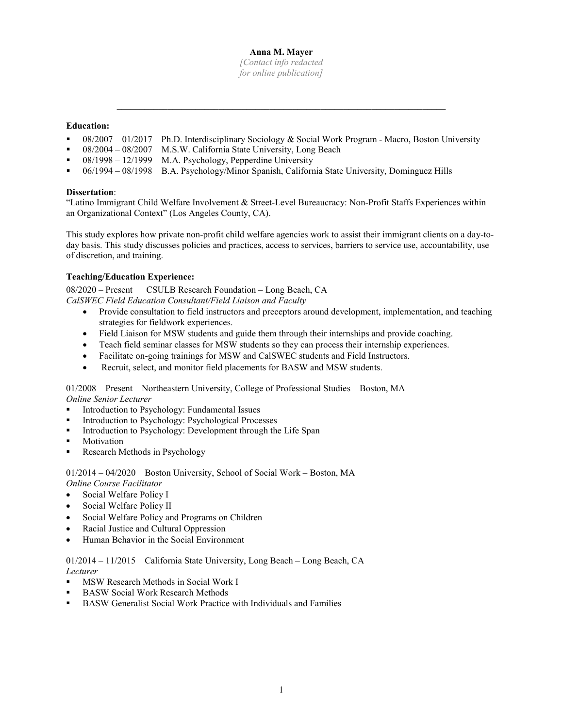#### **Anna M. Mayer**

*[Contact info redacted for online publication]*

 $\mathcal{L}_\text{max} = \mathcal{L}_\text{max} = \mathcal{L}_\text{max} = \mathcal{L}_\text{max} = \mathcal{L}_\text{max} = \mathcal{L}_\text{max} = \mathcal{L}_\text{max} = \mathcal{L}_\text{max} = \mathcal{L}_\text{max} = \mathcal{L}_\text{max} = \mathcal{L}_\text{max} = \mathcal{L}_\text{max} = \mathcal{L}_\text{max} = \mathcal{L}_\text{max} = \mathcal{L}_\text{max} = \mathcal{L}_\text{max} = \mathcal{L}_\text{max} = \mathcal{L}_\text{max} = \mathcal{$ 

## **Education:**

- 08/2007 01/2017 Ph.D. Interdisciplinary Sociology & Social Work Program Macro, Boston University
- 08/2004 08/2007 M.S.W. California State University, Long Beach
- 08/1998 12/1999 M.A. Psychology, Pepperdine University
- 06/1994 08/1998 B.A. Psychology/Minor Spanish, California State University, Dominguez Hills

#### **Dissertation**:

"Latino Immigrant Child Welfare Involvement & Street-Level Bureaucracy: Non-Profit Staffs Experiences within an Organizational Context" (Los Angeles County, CA).

This study explores how private non-profit child welfare agencies work to assist their immigrant clients on a day-today basis. This study discusses policies and practices, access to services, barriers to service use, accountability, use of discretion, and training.

## **Teaching/Education Experience:**

08/2020 – Present CSULB Research Foundation – Long Beach, CA *CalSWEC Field Education Consultant/Field Liaison and Faculty*

- Provide consultation to field instructors and preceptors around development, implementation, and teaching strategies for fieldwork experiences.
- Field Liaison for MSW students and guide them through their internships and provide coaching.
- Teach field seminar classes for MSW students so they can process their internship experiences.
- Facilitate on-going trainings for MSW and CalSWEC students and Field Instructors.
- Recruit, select, and monitor field placements for BASW and MSW students.

01/2008 – Present Northeastern University, College of Professional Studies – Boston, MA *Online Senior Lecturer*

- **Introduction to Psychology: Fundamental Issues**
- Introduction to Psychology: Psychological Processes
- Introduction to Psychology: Development through the Life Span
- Motivation
- Research Methods in Psychology

01/2014 – 04/2020 Boston University, School of Social Work – Boston, MA

- *Online Course Facilitator* Social Welfare Policy I
- Social Welfare Policy II
- Social Welfare Policy and Programs on Children
- Racial Justice and Cultural Oppression
- Human Behavior in the Social Environment

01/2014 – 11/2015 California State University, Long Beach – Long Beach, CA *Lecturer*

- MSW Research Methods in Social Work I
- BASW Social Work Research Methods
- BASW Generalist Social Work Practice with Individuals and Families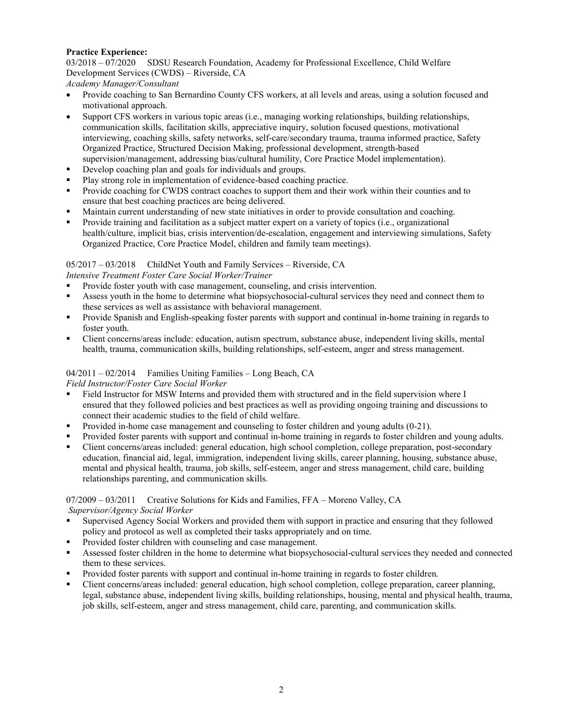#### **Practice Experience:**

03/2018 – 07/2020 SDSU Research Foundation, Academy for Professional Excellence, Child Welfare Development Services (CWDS) – Riverside, CA

*Academy Manager/Consultant* 

- Provide coaching to San Bernardino County CFS workers, at all levels and areas, using a solution focused and motivational approach.
- Support CFS workers in various topic areas (i.e., managing working relationships, building relationships, communication skills, facilitation skills, appreciative inquiry, solution focused questions, motivational interviewing, coaching skills, safety networks, self-care/secondary trauma, trauma informed practice, Safety Organized Practice, Structured Decision Making, professional development, strength-based supervision/management, addressing bias/cultural humility, Core Practice Model implementation).
- Develop coaching plan and goals for individuals and groups.
- Play strong role in implementation of evidence-based coaching practice.
- Provide coaching for CWDS contract coaches to support them and their work within their counties and to ensure that best coaching practices are being delivered.
- Maintain current understanding of new state initiatives in order to provide consultation and coaching.
- Provide training and facilitation as a subject matter expert on a variety of topics (i.e., organizational health/culture, implicit bias, crisis intervention/de-escalation, engagement and interviewing simulations, Safety Organized Practice, Core Practice Model, children and family team meetings).

## 05/2017 – 03/2018 ChildNet Youth and Family Services – Riverside, CA

*Intensive Treatment Foster Care Social Worker/Trainer*

- Provide foster youth with case management, counseling, and crisis intervention.
- Assess youth in the home to determine what biopsychosocial-cultural services they need and connect them to these services as well as assistance with behavioral management.
- Provide Spanish and English-speaking foster parents with support and continual in-home training in regards to foster youth.
- Client concerns/areas include: education, autism spectrum, substance abuse, independent living skills, mental health, trauma, communication skills, building relationships, self-esteem, anger and stress management.

## 04/2011 – 02/2014 Families Uniting Families – Long Beach, CA

*Field Instructor/Foster Care Social Worker*

- Field Instructor for MSW Interns and provided them with structured and in the field supervision where I ensured that they followed policies and best practices as well as providing ongoing training and discussions to connect their academic studies to the field of child welfare.
- Provided in-home case management and counseling to foster children and young adults (0-21).
- Provided foster parents with support and continual in-home training in regards to foster children and young adults.
- Client concerns/areas included: general education, high school completion, college preparation, post-secondary education, financial aid, legal, immigration, independent living skills, career planning, housing, substance abuse, mental and physical health, trauma, job skills, self-esteem, anger and stress management, child care, building relationships parenting, and communication skills.

07/2009 – 03/2011 Creative Solutions for Kids and Families, FFA – Moreno Valley, CA *Supervisor/Agency Social Worker*

- Supervised Agency Social Workers and provided them with support in practice and ensuring that they followed policy and protocol as well as completed their tasks appropriately and on time.
- Provided foster children with counseling and case management.
- Assessed foster children in the home to determine what biopsychosocial-cultural services they needed and connected them to these services.
- Provided foster parents with support and continual in-home training in regards to foster children.
- Client concerns/areas included: general education, high school completion, college preparation, career planning, legal, substance abuse, independent living skills, building relationships, housing, mental and physical health, trauma, job skills, self-esteem, anger and stress management, child care, parenting, and communication skills.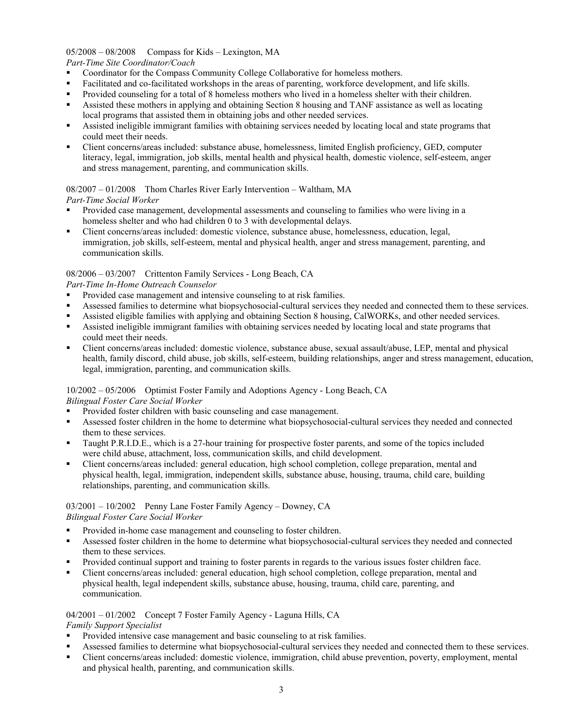## 05/2008 – 08/2008 Compass for Kids – Lexington, MA

#### *Part-Time Site Coordinator/Coach*

- Coordinator for the Compass Community College Collaborative for homeless mothers.
- Facilitated and co-facilitated workshops in the areas of parenting, workforce development, and life skills.
- Provided counseling for a total of 8 homeless mothers who lived in a homeless shelter with their children.
- Assisted these mothers in applying and obtaining Section 8 housing and TANF assistance as well as locating local programs that assisted them in obtaining jobs and other needed services.
- Assisted ineligible immigrant families with obtaining services needed by locating local and state programs that could meet their needs.
- Client concerns/areas included: substance abuse, homelessness, limited English proficiency, GED, computer literacy, legal, immigration, job skills, mental health and physical health, domestic violence, self-esteem, anger and stress management, parenting, and communication skills.

# 08/2007 – 01/2008 Thom Charles River Early Intervention – Waltham, MA

## *Part-Time Social Worker*

- Provided case management, developmental assessments and counseling to families who were living in a homeless shelter and who had children 0 to 3 with developmental delays.
- Client concerns/areas included: domestic violence, substance abuse, homelessness, education, legal, immigration, job skills, self-esteem, mental and physical health, anger and stress management, parenting, and communication skills.

## 08/2006 – 03/2007 Crittenton Family Services - Long Beach, CA

## *Part-Time In-Home Outreach Counselor*

- Provided case management and intensive counseling to at risk families.
- Assessed families to determine what biopsychosocial-cultural services they needed and connected them to these services.
- Assisted eligible families with applying and obtaining Section 8 housing, CalWORKs, and other needed services.
- Assisted ineligible immigrant families with obtaining services needed by locating local and state programs that could meet their needs.
- Client concerns/areas included: domestic violence, substance abuse, sexual assault/abuse, LEP, mental and physical health, family discord, child abuse, job skills, self-esteem, building relationships, anger and stress management, education, legal, immigration, parenting, and communication skills.

## 10/2002 – 05/2006 Optimist Foster Family and Adoptions Agency - Long Beach, CA

*Bilingual Foster Care Social Worker*

- Provided foster children with basic counseling and case management.
- Assessed foster children in the home to determine what biopsychosocial-cultural services they needed and connected them to these services.
- Taught P.R.I.D.E., which is a 27-hour training for prospective foster parents, and some of the topics included were child abuse, attachment, loss, communication skills, and child development.
- Client concerns/areas included: general education, high school completion, college preparation, mental and physical health, legal, immigration, independent skills, substance abuse, housing, trauma, child care, building relationships, parenting, and communication skills.

#### 03/2001 – 10/2002 Penny Lane Foster Family Agency – Downey, CA *Bilingual Foster Care Social Worker*

- **Provided in-home case management and counseling to foster children.**
- Assessed foster children in the home to determine what biopsychosocial-cultural services they needed and connected them to these services.
- Provided continual support and training to foster parents in regards to the various issues foster children face.
- Client concerns/areas included: general education, high school completion, college preparation, mental and physical health, legal independent skills, substance abuse, housing, trauma, child care, parenting, and communication.

## 04/2001 – 01/2002 Concept 7 Foster Family Agency - Laguna Hills, CA

#### *Family Support Specialist*

- Provided intensive case management and basic counseling to at risk families.
- Assessed families to determine what biopsychosocial-cultural services they needed and connected them to these services.
- Client concerns/areas included: domestic violence, immigration, child abuse prevention, poverty, employment, mental and physical health, parenting, and communication skills.